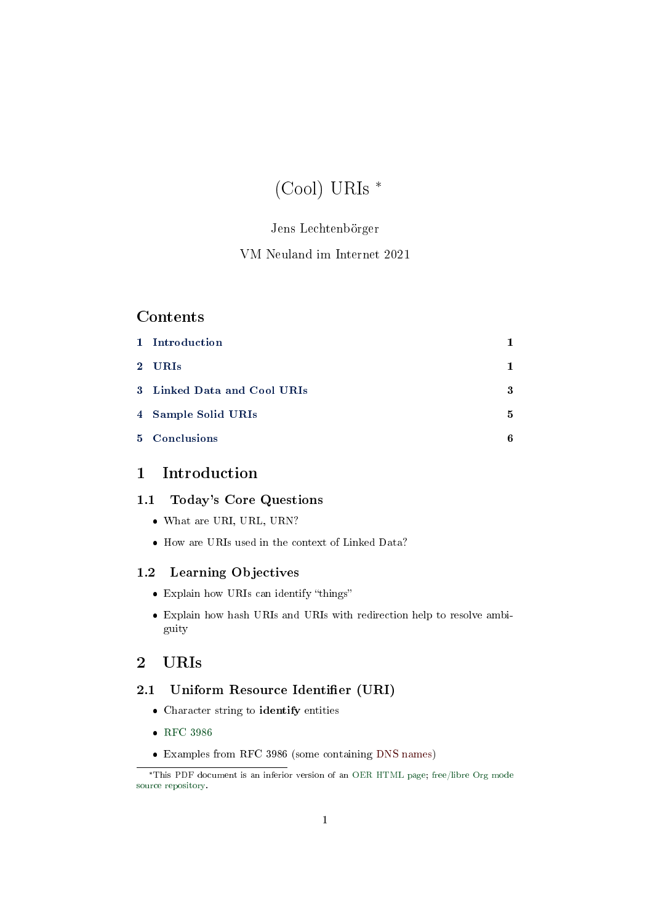# (Cool) URIs \*

# Jens Lechtenbörger

## VM Neuland im Internet 2021

## Contents

| 1 Introduction              | 1  |
|-----------------------------|----|
| 2 URIs                      | 1. |
| 3 Linked Data and Cool URIs | 3  |
| 4 Sample Solid URIs         | 5  |
| 5 Conclusions               | 6  |

# <span id="page-0-0"></span>1 Introduction

## 1.1 Today's Core Questions

- What are URI, URL, URN?
- $\bullet$  How are URIs used in the context of Linked Data?

## 1.2 Learning Objectives

- Explain how URIs can identify "things"
- Explain how hash URIs and URIs with redirection help to resolve ambiguity

# <span id="page-0-1"></span>2 URIs

## 2.1 Uniform Resource Identifier (URI)

- Character string to identify entities
- [RFC 3986](https://datatracker.ietf.org/doc/html/rfc3986)
- Examples from RFC 3986 (some containing DNS names)

<sup>\*</sup>This PDF document is an inferior version of an [OER HTML page;](https://oer.gitlab.io/oer-courses/vm-neuland/URIs.html) [free/libre Org mode](https://gitlab.com/oer/oer-courses/vm-neuland) [source repository.](https://gitlab.com/oer/oer-courses/vm-neuland)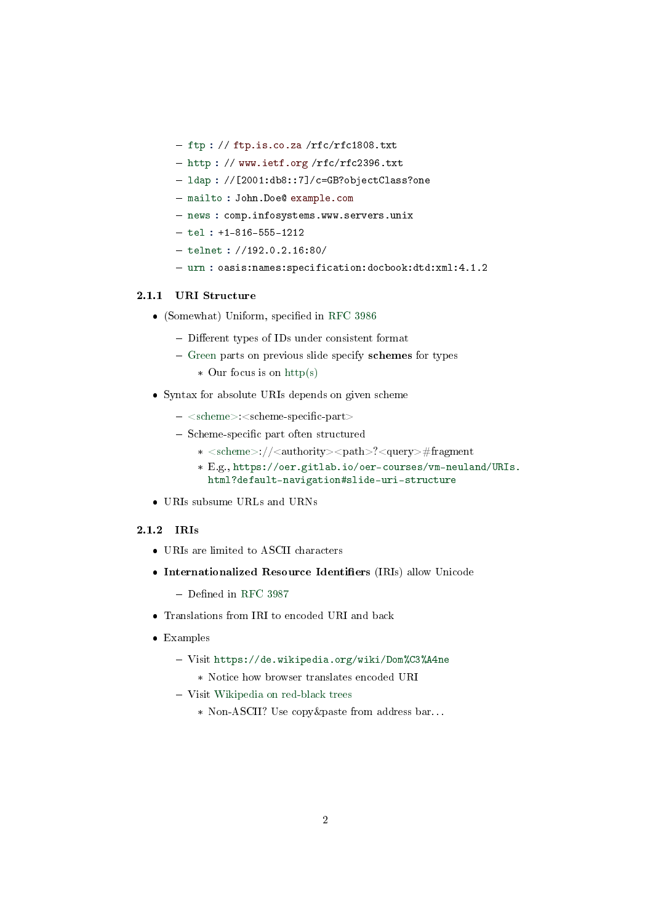- $f$  ftp : // ftp.is.co.za /rfc/rfc1808.txt
- http : // www.ietf.org/rfc/rfc2396.txt
- $-$  ldap :  $//$ [2001:db8::7]/c=GB?objectClass?one
- mailto : John.Doe@ example.com
- news : comp.infosystems.www.servers.unix
- $-$  tel : +1-816-555-1212
- $-$  telnet :  $//192.0.2.16:80/$
- urn : oasis:names:specification:docbook:dtd:xml:4.1.2

#### 2.1.1 URI Structure

- $\bullet$  (Somewhat) Uniform, specified in [RFC 3986](https://datatracker.ietf.org/doc/html/rfc3986)
	- Different types of IDs under consistent format
	- Green parts on previous slide specify schemes for types
		- \* Our focus is on http(s)
- Syntax for absolute URIs depends on given scheme
	- $-$  <scheme>:<scheme-specific-part>
	- Scheme-specific part often structured
		- \* <scheme>://<authority><path>?<query>#fragment
		- \* E.g., [https://oer.gitlab.io/oer-courses/vm-neuland/URIs](https://oer.gitlab.io/oer-courses/vm-neuland/URIs.html?default-navigation#slide-uri-structure). [html?default-navigation#slide-uri-structure](https://oer.gitlab.io/oer-courses/vm-neuland/URIs.html?default-navigation#slide-uri-structure)
- URIs subsume URLs and URNs

#### 2.1.2 IRIs

- URIs are limited to ASCII characters
- Internationalized Resource Identifiers (IRIs) allow Unicode
	- $-$  Defined in [RFC 3987](https://tools.ietf.org/html/rfc3987)
- Translations from IRI to encoded URI and back
- Examples
	- Visit <https://de.wikipedia.org/wiki/Dom%C3%A4ne>
		- \* Notice how browser translates encoded URI
	- Visit [Wikipedia on red-black trees](https://en.wikipedia.org/wiki/Red%E2%80%93black_tree)
		- \* Non-ASCII? Use copy&paste from address bar. . .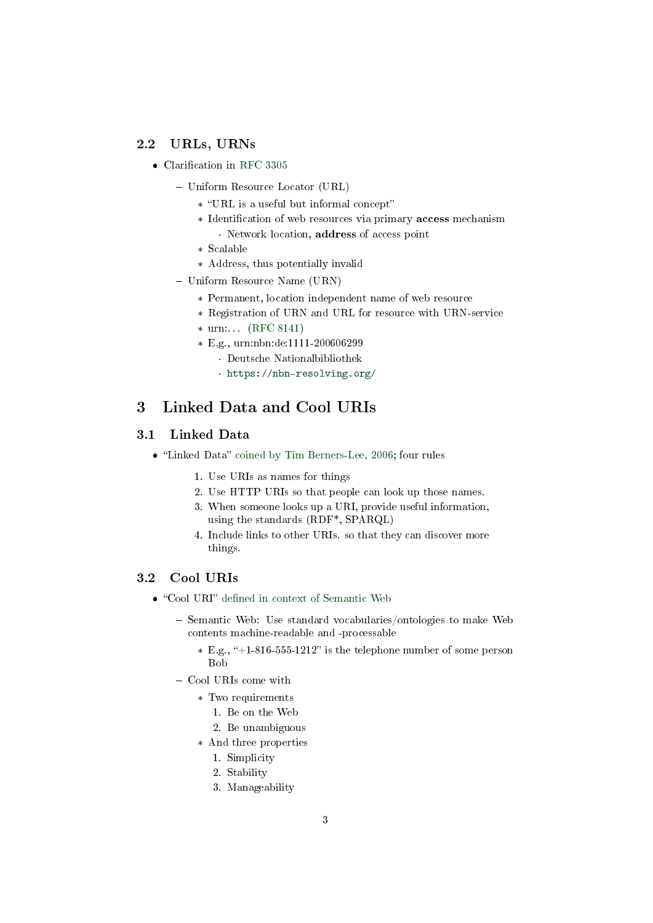## 2.2 URLs, URNs

- $\bullet$  Clarification in [RFC 3305](https://tools.ietf.org/html/rfc3305)
	- Uniform Resource Locator (URL)
		- \* URL is a useful but informal concept
		- \* Identification of web resources via primary **access** mechanism · Network location, address of access point
		- \* Scalable
		- \* Address, thus potentially invalid
	- Uniform Resource Name (URN)
		- \* Permanent, location independent name of web resource
		- \* Registration of URN and URL for resource with URN-service
		- \* urn:. . . [\(RFC 8141\)](https://tools.ietf.org/html/rfc8141)
		- \* E.g., urn:nbn:de:1111-200606299
			- · Deutsche Nationalbibliothek
			- · <https://nbn-resolving.org/>

# <span id="page-2-0"></span>3 Linked Data and Cool URIs

#### 3.1 Linked Data

- "Linked Data" [coined by Tim Berners-Lee, 2006;](https://www.w3.org/DesignIssues/LinkedData) four rules
	- 1. Use URIs as names for things
	- 2. Use HTTP URIs so that people can look up those names.
	- 3. When someone looks up a URI, provide useful information, using the standards (RDF\*, SPARQL)
	- 4. Include links to other URIs. so that they can discover more things.

## 3.2 Cool URIs

- $\bullet$  "Cool URI" defined in context of Semantic Web
	- Semantic Web: Use standard vocabularies/ontologies to make Web contents machine-readable and -processable
		- $*$  E.g., "+1-816-555-1212" is the telephone number of some person Bob
	- Cool URIs come with
		- \* Two requirements
			- 1. Be on the Web
			- 2. Be unambiguous
		- \* And three properties
			- 1. Simplicity
			- 2. Stability
			- 3. Manageability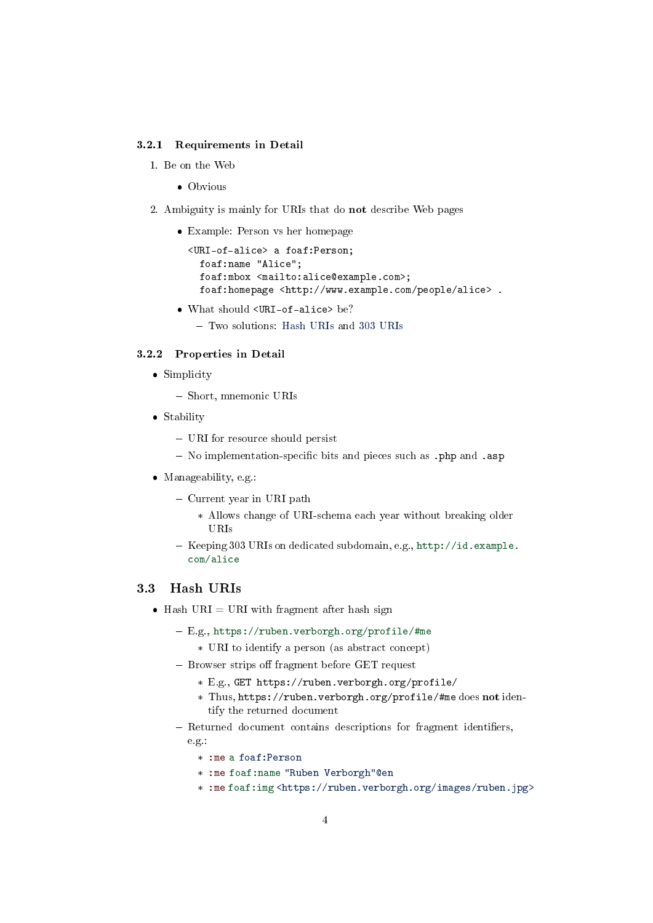#### 3.2.1 Requirements in Detail

1. Be on the Web

• Obvious

- 2. Ambiguity is mainly for URIs that do not describe Web pages
	- Example: Person vs her homepage

<URI-of-alice> a foaf:Person; foaf:name "Alice"; foaf:mbox <mailto:alice@example.com>; foaf:homepage <http://www.example.com/people/alice> .

- What should <URI-of-alice> be?
	- Two solutions: [Hash URIs](#page-3-0) and [303 URIs](#page-4-1)

#### 3.2.2 Properties in Detail

- Simplicity
	- Short, mnemonic URIs
- Stability
	- URI for resource should persist
	- No implementation-specific bits and pieces such as .php and .asp
- Manageability, e.g.:
	- $-$  Current year in URI path
		- \* Allows change of URI-schema each year without breaking older URIs
	- Keeping 303 URIs on dedicated subdomain, e.g., [http://id.example.](http://id.example.com/alice) [com/alice](http://id.example.com/alice)

## <span id="page-3-0"></span>3.3 Hash URIs

- Hash URI = URI with fragment after hash sign
	- E.g., <https://ruben.verborgh.org/profile/#me>
		- \* URI to identify a person (as abstract concept)
	- Browser strips off fragment before GET request
		- \* E.g., GET https://ruben.verborgh.org/profile/
		- \* Thus, https://ruben.verborgh.org/profile/#me does not identify the returned document
	- Returned document contains descriptions for fragment identifiers, e.g.:
		- \* :me a foaf:Person
		- \* :me foaf:name "Ruben Verborgh"@en
		- \* :me foaf:img <https://ruben.verborgh.org/images/ruben.jpg>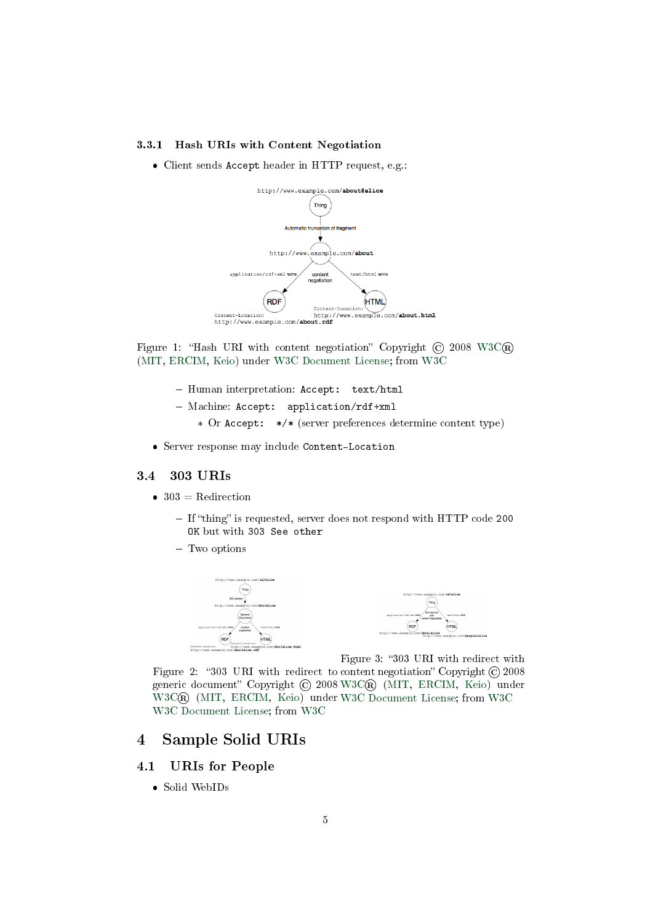#### 3.3.1 Hash URIs with Content Negotiation

Client sends Accept header in HTTP request, e.g.:



Figure 1: "Hash URI with content negotiation" Copyright  $\odot$  2008 W3C $\circ$ [\(MIT,](http://www.csail.mit.edu/) [ERCIM,](http://www.ercim.org/) [Keio\)](http://www.keio.ac.jp/) under [W3C Document License;](https://www.w3.org/Consortium/Legal/2015/doc-license) from [W3C](http://www.w3.org/TR/2008/NOTE-cooluris-20081203/)

- Human interpretation: Accept: text/html
- Machine: Accept: application/rdf+xml
	- \* Or Accept: \*/\* (server preferences determine content type)
- Server response may include Content-Location

#### <span id="page-4-1"></span>3.4 303 URIs

- $\bullet$  303 = Redirection
	- $-I$  f "thing" is requested, server does not respond with HTTP code 200 OK but with 303 See other
	- Two options





Figure 3: "303 URI with redirect with

Figure 2: "303 URI with redirect to content negotiation" Copyright  $\odot$  2008 generic document" Copyright © 2008 [W3C®](http://www.w3.org/) [\(MIT,](http://www.csail.mit.edu/) [ERCIM,](http://www.ercim.org/) [Keio\)](http://www.keio.ac.jp/) under [W3C®](http://www.w3.org/) [\(MIT,](http://www.csail.mit.edu/) [ERCIM,](http://www.ercim.org/) [Keio\)](http://www.keio.ac.jp/) under [W3C Document License;](https://www.w3.org/Consortium/Legal/2015/doc-license) from [W3C](http://www.w3.org/TR/2008/NOTE-cooluris-20081203/) [W3C Document License;](https://www.w3.org/Consortium/Legal/2015/doc-license) from [W3C](http://www.w3.org/TR/2008/NOTE-cooluris-20081203/)

# <span id="page-4-0"></span>4 Sample Solid URIs

### 4.1 URIs for People

Solid WebIDs